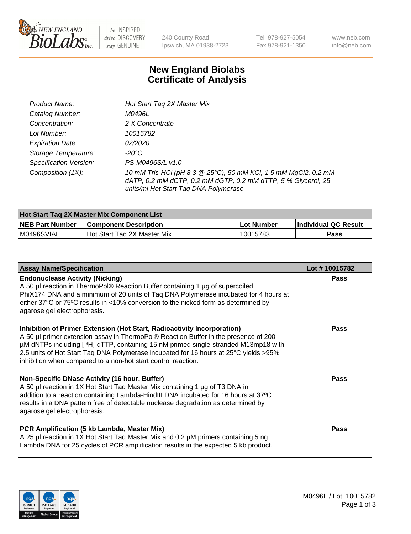

be INSPIRED drive DISCOVERY stay GENUINE

240 County Road Ipswich, MA 01938-2723 Tel 978-927-5054 Fax 978-921-1350 www.neb.com info@neb.com

## **New England Biolabs Certificate of Analysis**

| Product Name:           | Hot Start Tag 2X Master Mix                                                                                                                                               |
|-------------------------|---------------------------------------------------------------------------------------------------------------------------------------------------------------------------|
| Catalog Number:         | M0496L                                                                                                                                                                    |
| Concentration:          | 2 X Concentrate                                                                                                                                                           |
| Lot Number:             | 10015782                                                                                                                                                                  |
| <b>Expiration Date:</b> | <i>02/2020</i>                                                                                                                                                            |
| Storage Temperature:    | -20°C                                                                                                                                                                     |
| Specification Version:  | PS-M0496S/L v1.0                                                                                                                                                          |
| Composition (1X):       | 10 mM Tris-HCl (pH 8.3 @ 25°C), 50 mM KCl, 1.5 mM MgCl2, 0.2 mM<br>dATP, 0.2 mM dCTP, 0.2 mM dGTP, 0.2 mM dTTP, 5 % Glycerol, 25<br>units/ml Hot Start Taq DNA Polymerase |

| Hot Start Tag 2X Master Mix Component List |                              |            |                      |  |  |
|--------------------------------------------|------------------------------|------------|----------------------|--|--|
| <b>NEB Part Number</b>                     | <b>Component Description</b> | Lot Number | Individual QC Result |  |  |
| M0496SVIAL                                 | Hot Start Tag 2X Master Mix  | 10015783   | Pass                 |  |  |

| <b>Assay Name/Specification</b>                                                                                                                                                                                                                                                                                                                                                                                | Lot #10015782 |
|----------------------------------------------------------------------------------------------------------------------------------------------------------------------------------------------------------------------------------------------------------------------------------------------------------------------------------------------------------------------------------------------------------------|---------------|
| <b>Endonuclease Activity (Nicking)</b><br>A 50 µl reaction in ThermoPol® Reaction Buffer containing 1 µg of supercoiled<br>PhiX174 DNA and a minimum of 20 units of Taq DNA Polymerase incubated for 4 hours at<br>either 37°C or 75°C results in <10% conversion to the nicked form as determined by<br>agarose gel electrophoresis.                                                                          | <b>Pass</b>   |
| Inhibition of Primer Extension (Hot Start, Radioactivity Incorporation)<br>A 50 µl primer extension assay in ThermoPol® Reaction Buffer in the presence of 200<br>µM dNTPs including [3H]-dTTP, containing 15 nM primed single-stranded M13mp18 with<br>2.5 units of Hot Start Taq DNA Polymerase incubated for 16 hours at 25°C yields > 95%<br>inhibition when compared to a non-hot start control reaction. | Pass          |
| <b>Non-Specific DNase Activity (16 hour, Buffer)</b><br>A 50 µl reaction in 1X Hot Start Taq Master Mix containing 1 µg of T3 DNA in<br>addition to a reaction containing Lambda-HindIII DNA incubated for 16 hours at 37°C<br>results in a DNA pattern free of detectable nuclease degradation as determined by<br>agarose gel electrophoresis.                                                               | <b>Pass</b>   |
| PCR Amplification (5 kb Lambda, Master Mix)<br>A 25 µl reaction in 1X Hot Start Taq Master Mix and 0.2 µM primers containing 5 ng<br>Lambda DNA for 25 cycles of PCR amplification results in the expected 5 kb product.                                                                                                                                                                                       | Pass          |

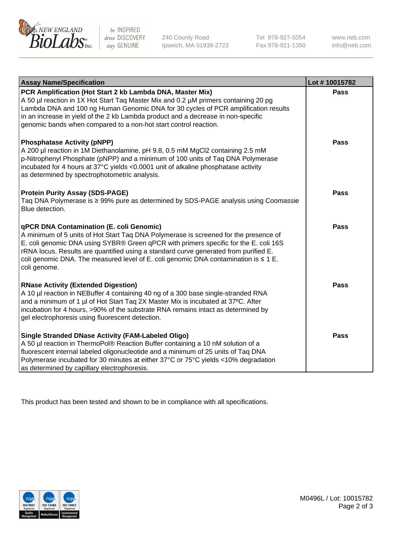

be INSPIRED drive DISCOVERY stay GENUINE

240 County Road Ipswich, MA 01938-2723 Tel 978-927-5054 Fax 978-921-1350 www.neb.com info@neb.com

| <b>Assay Name/Specification</b>                                                                                                                                                                                                                                                                                                                                                                                                     | Lot #10015782 |
|-------------------------------------------------------------------------------------------------------------------------------------------------------------------------------------------------------------------------------------------------------------------------------------------------------------------------------------------------------------------------------------------------------------------------------------|---------------|
| PCR Amplification (Hot Start 2 kb Lambda DNA, Master Mix)<br>A 50 µl reaction in 1X Hot Start Tag Master Mix and 0.2 µM primers containing 20 pg<br>Lambda DNA and 100 ng Human Genomic DNA for 30 cycles of PCR amplification results<br>in an increase in yield of the 2 kb Lambda product and a decrease in non-specific<br>genomic bands when compared to a non-hot start control reaction.                                     | <b>Pass</b>   |
| <b>Phosphatase Activity (pNPP)</b><br>A 200 µl reaction in 1M Diethanolamine, pH 9.8, 0.5 mM MgCl2 containing 2.5 mM<br>p-Nitrophenyl Phosphate (pNPP) and a minimum of 100 units of Taq DNA Polymerase<br>incubated for 4 hours at 37°C yields <0.0001 unit of alkaline phosphatase activity<br>as determined by spectrophotometric analysis.                                                                                      | <b>Pass</b>   |
| <b>Protein Purity Assay (SDS-PAGE)</b><br>Taq DNA Polymerase is ≥ 99% pure as determined by SDS-PAGE analysis using Coomassie<br>Blue detection.                                                                                                                                                                                                                                                                                    | <b>Pass</b>   |
| <b>qPCR DNA Contamination (E. coli Genomic)</b><br>A minimum of 5 units of Hot Start Tag DNA Polymerase is screened for the presence of<br>E. coli genomic DNA using SYBR® Green qPCR with primers specific for the E. coli 16S<br>rRNA locus. Results are quantified using a standard curve generated from purified E.<br>coli genomic DNA. The measured level of E. coli genomic DNA contamination is $\leq 1$ E.<br>coli genome. | <b>Pass</b>   |
| <b>RNase Activity (Extended Digestion)</b><br>A 10 µl reaction in NEBuffer 4 containing 40 ng of a 300 base single-stranded RNA<br>and a minimum of 1 µl of Hot Start Taq 2X Master Mix is incubated at 37°C. After<br>incubation for 4 hours, >90% of the substrate RNA remains intact as determined by<br>gel electrophoresis using fluorescent detection.                                                                        | <b>Pass</b>   |
| <b>Single Stranded DNase Activity (FAM-Labeled Oligo)</b><br>A 50 µl reaction in ThermoPol® Reaction Buffer containing a 10 nM solution of a<br>fluorescent internal labeled oligonucleotide and a minimum of 25 units of Taq DNA<br>Polymerase incubated for 30 minutes at either 37°C or 75°C yields <10% degradation<br>as determined by capillary electrophoresis.                                                              | Pass          |

This product has been tested and shown to be in compliance with all specifications.